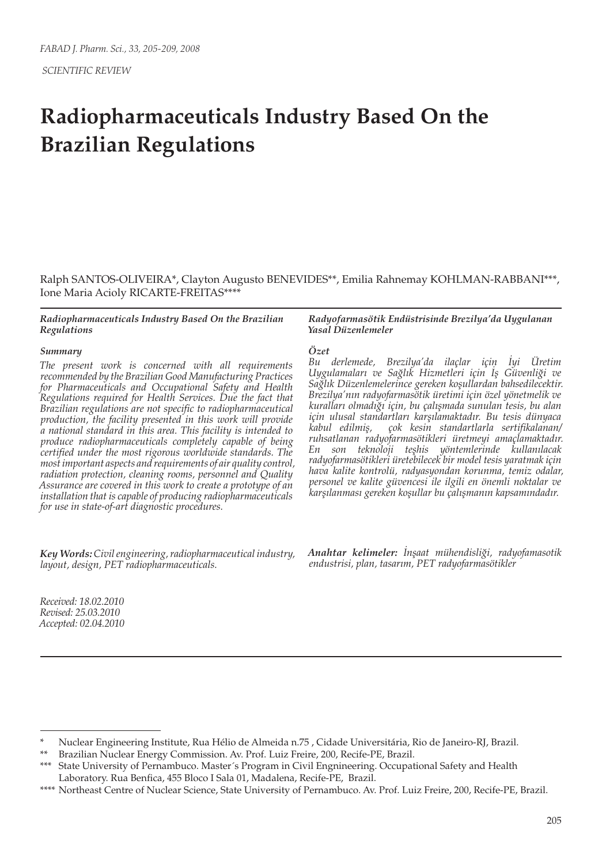# **Radiopharmaceuticals Industry Based On the Brazilian Regulations**

Ralph SANTOS-OLIVEIRA\*, Clayton Augusto BENEVIDES\*\*, Emilia Rahnemay KOHLMAN-RABBANI\*\*\*, Ione Maria Acioly RICARTE-FREITAS\*\*\*\*

### *Radiopharmaceuticals Industry Based On the Brazilian Regulations*

### *Summary*

*The present work is concerned with all requirements recommended by the Brazilian Good Manufacturing Practices for Pharmaceuticals and Occupational Safety and Health Regulations required for Health Services. Due the fact that Brazilian regulations are not specific to radiopharmaceutical production, the facility presented in this work will provide a national standard in this area. This facility is intended to produce radiopharmaceuticals completely capable of being certified under the most rigorous worldwide standards. The most important aspects and requirements of air quality control, radiation protection, cleaning rooms, personnel and Quality Assurance are covered in this work to create a prototype of an installation that is capable of producing radiopharmaceuticals for use in state-of-art diagnostic procedures.*

*Key Words: Civil engineering, radiopharmaceutical industry, layout, design, PET radiopharmaceuticals.*

*Radyofarmasötik Endüstrisinde Brezilya'da Uygulanan Yasal Düzenlemeler*

#### *Özet*

*Bu derlemede, Brezilya'da ilaçlar için İyi Üretim Uygulamaları ve Sağlık Hizmetleri için İş Güvenliği ve Sağlık Düzenlemelerince gereken koşullardan bahsedilecektir. Brezilya'nın radyofarmasötik üretimi için özel yönetmelik ve kuralları olmadığı için, bu çalışmada sunulan tesis, bu alan için ulusal standartları karşılamaktadır. Bu tesis dünyaca kabul edilmiş, çok kesin standartlarla sertifikalanan/ ruhsatlanan radyofarmasötikleri üretmeyi amaçlamaktadır. En son teknoloji teşhis yöntemlerinde kullanılacak radyofarmasötikleri üretebilecek bir model tesis yaratmak için hava kalite kontrolü, radyasyondan korunma, temiz odalar, personel ve kalite güvencesi ile ilgili en önemli noktalar ve karşılanması gereken koşullar bu çalışmanın kapsamındadır.*

*Anahtar kelimeler: İnşaat mühendisliği, radyofamasotik endustrisi, plan, tasarım, PET radyofarmasötikler*

*Received: 18.02.2010 Revised: 25.03.2010 Accepted: 02.04.2010*

<sup>\*</sup> Nuclear Engineering Institute, Rua Hélio de Almeida n.75 , Cidade Universitária, Rio de Janeiro-RJ, Brazil.

<sup>\*\*</sup> Brazilian Nuclear Energy Commission. Av. Prof. Luiz Freire, 200, Recife-PE, Brazil.

<sup>\*\*\*</sup> State University of Pernambuco. Master´s Program in Civil Engnineering. Occupational Safety and Health Laboratory. Rua Benfica, 455 Bloco I Sala 01, Madalena, Recife-PE, Brazil.

<sup>\*\*\*\*</sup> Northeast Centre of Nuclear Science, State University of Pernambuco. Av. Prof. Luiz Freire, 200, Recife-PE, Brazil.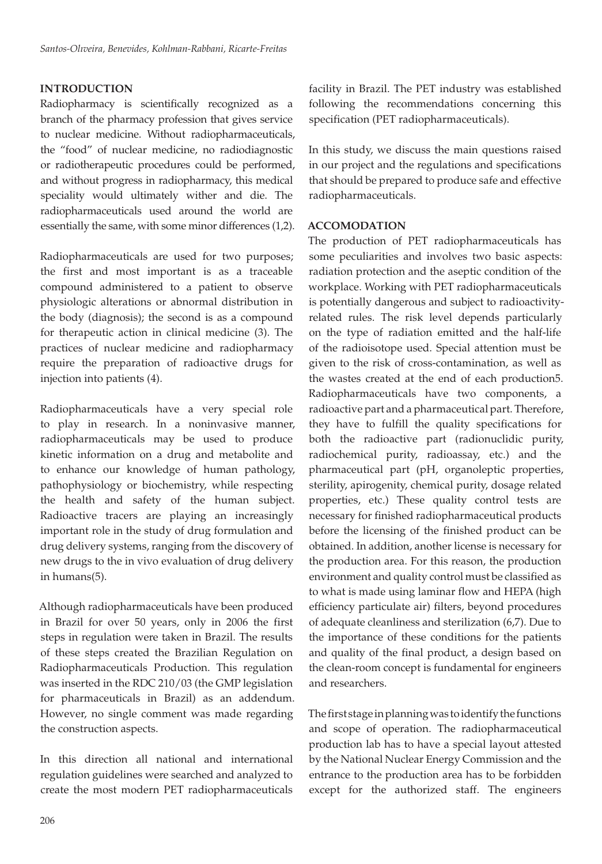# **INTRODUCTION**

Radiopharmacy is scientifically recognized as a branch of the pharmacy profession that gives service to nuclear medicine. Without radiopharmaceuticals, the "food" of nuclear medicine, no radiodiagnostic or radiotherapeutic procedures could be performed, and without progress in radiopharmacy, this medical speciality would ultimately wither and die. The radiopharmaceuticals used around the world are essentially the same, with some minor differences (1,2).

Radiopharmaceuticals are used for two purposes; the first and most important is as a traceable compound administered to a patient to observe physiologic alterations or abnormal distribution in the body (diagnosis); the second is as a compound for therapeutic action in clinical medicine (3). The practices of nuclear medicine and radiopharmacy require the preparation of radioactive drugs for injection into patients (4).

Radiopharmaceuticals have a very special role to play in research. In a noninvasive manner, radiopharmaceuticals may be used to produce kinetic information on a drug and metabolite and to enhance our knowledge of human pathology, pathophysiology or biochemistry, while respecting the health and safety of the human subject. Radioactive tracers are playing an increasingly important role in the study of drug formulation and drug delivery systems, ranging from the discovery of new drugs to the in vivo evaluation of drug delivery in humans(5).

Although radiopharmaceuticals have been produced in Brazil for over 50 years, only in 2006 the first steps in regulation were taken in Brazil. The results of these steps created the Brazilian Regulation on Radiopharmaceuticals Production. This regulation was inserted in the RDC 210/03 (the GMP legislation for pharmaceuticals in Brazil) as an addendum. However, no single comment was made regarding the construction aspects.

In this direction all national and international regulation guidelines were searched and analyzed to create the most modern PET radiopharmaceuticals

facility in Brazil. The PET industry was established following the recommendations concerning this specification (PET radiopharmaceuticals).

In this study, we discuss the main questions raised in our project and the regulations and specifications that should be prepared to produce safe and effective radiopharmaceuticals.

## **ACCOMODATION**

The production of PET radiopharmaceuticals has some peculiarities and involves two basic aspects: radiation protection and the aseptic condition of the workplace. Working with PET radiopharmaceuticals is potentially dangerous and subject to radioactivityrelated rules. The risk level depends particularly on the type of radiation emitted and the half-life of the radioisotope used. Special attention must be given to the risk of cross-contamination, as well as the wastes created at the end of each production5. Radiopharmaceuticals have two components, a radioactive part and a pharmaceutical part. Therefore, they have to fulfill the quality specifications for both the radioactive part (radionuclidic purity, radiochemical purity, radioassay, etc.) and the pharmaceutical part (pH, organoleptic properties, sterility, apirogenity, chemical purity, dosage related properties, etc.) These quality control tests are necessary for finished radiopharmaceutical products before the licensing of the finished product can be obtained. In addition, another license is necessary for the production area. For this reason, the production environment and quality control must be classified as to what is made using laminar flow and HEPA (high efficiency particulate air) filters, beyond procedures of adequate cleanliness and sterilization (6,7). Due to the importance of these conditions for the patients and quality of the final product, a design based on the clean-room concept is fundamental for engineers and researchers.

The first stage in planning was to identify the functions and scope of operation. The radiopharmaceutical production lab has to have a special layout attested by the National Nuclear Energy Commission and the entrance to the production area has to be forbidden except for the authorized staff. The engineers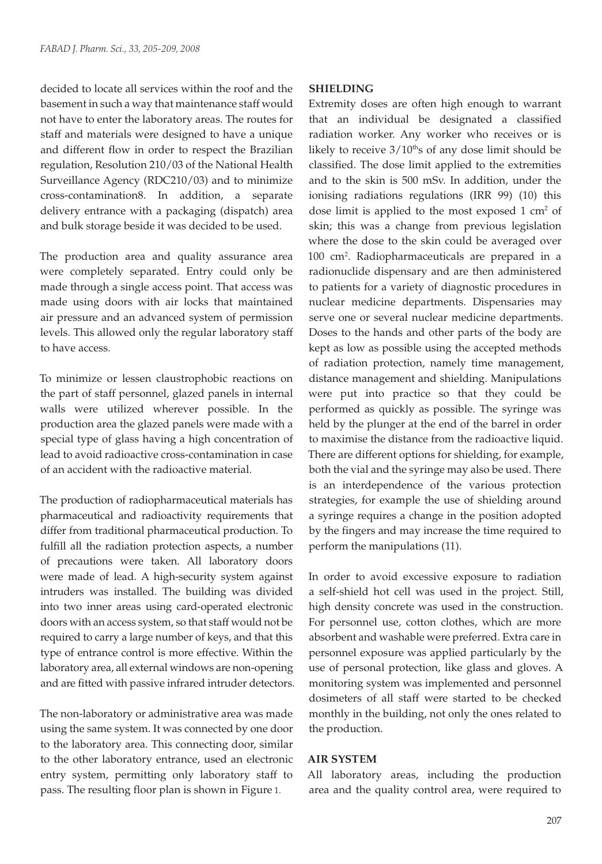decided to locate all services within the roof and the basement in such a way that maintenance staff would not have to enter the laboratory areas. The routes for staff and materials were designed to have a unique and different flow in order to respect the Brazilian regulation, Resolution 210/03 of the National Health Surveillance Agency (RDC210/03) and to minimize cross-contamination8. In addition, a separate delivery entrance with a packaging (dispatch) area and bulk storage beside it was decided to be used.

The production area and quality assurance area were completely separated. Entry could only be made through a single access point. That access was made using doors with air locks that maintained air pressure and an advanced system of permission levels. This allowed only the regular laboratory staff to have access.

To minimize or lessen claustrophobic reactions on the part of staff personnel, glazed panels in internal walls were utilized wherever possible. In the production area the glazed panels were made with a special type of glass having a high concentration of lead to avoid radioactive cross-contamination in case of an accident with the radioactive material.

The production of radiopharmaceutical materials has pharmaceutical and radioactivity requirements that differ from traditional pharmaceutical production. To fulfill all the radiation protection aspects, a number of precautions were taken. All laboratory doors were made of lead. A high-security system against intruders was installed. The building was divided into two inner areas using card-operated electronic doors with an access system, so that staff would not be required to carry a large number of keys, and that this type of entrance control is more effective. Within the laboratory area, all external windows are non-opening and are fitted with passive infrared intruder detectors.

The non-laboratory or administrative area was made using the same system. It was connected by one door to the laboratory area. This connecting door, similar to the other laboratory entrance, used an electronic entry system, permitting only laboratory staff to pass. The resulting floor plan is shown in Figure 1.

# **SHIELDING**

Extremity doses are often high enough to warrant that an individual be designated a classified radiation worker. Any worker who receives or is likely to receive  $3/10$ <sup>th</sup>s of any dose limit should be classified. The dose limit applied to the extremities and to the skin is 500 mSv. In addition, under the ionising radiations regulations (IRR 99) (10) this dose limit is applied to the most exposed  $1 \text{ cm}^2$  of skin; this was a change from previous legislation where the dose to the skin could be averaged over 100 cm2 . Radiopharmaceuticals are prepared in a radionuclide dispensary and are then administered to patients for a variety of diagnostic procedures in nuclear medicine departments. Dispensaries may serve one or several nuclear medicine departments. Doses to the hands and other parts of the body are kept as low as possible using the accepted methods of radiation protection, namely time management, distance management and shielding. Manipulations were put into practice so that they could be performed as quickly as possible. The syringe was held by the plunger at the end of the barrel in order to maximise the distance from the radioactive liquid. There are different options for shielding, for example, both the vial and the syringe may also be used. There is an interdependence of the various protection strategies, for example the use of shielding around a syringe requires a change in the position adopted by the fingers and may increase the time required to perform the manipulations (11).

In order to avoid excessive exposure to radiation a self-shield hot cell was used in the project. Still, high density concrete was used in the construction. For personnel use, cotton clothes, which are more absorbent and washable were preferred. Extra care in personnel exposure was applied particularly by the use of personal protection, like glass and gloves. A monitoring system was implemented and personnel dosimeters of all staff were started to be checked monthly in the building, not only the ones related to the production.

# **AIR SYSTEM**

All laboratory areas, including the production area and the quality control area, were required to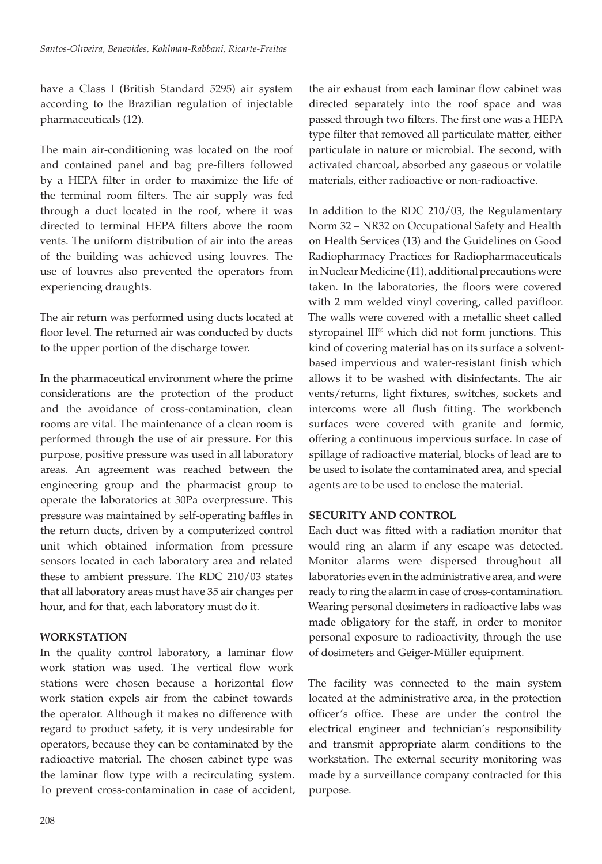have a Class I (British Standard 5295) air system according to the Brazilian regulation of injectable pharmaceuticals (12).

The main air-conditioning was located on the roof and contained panel and bag pre-filters followed by a HEPA filter in order to maximize the life of the terminal room filters. The air supply was fed through a duct located in the roof, where it was directed to terminal HEPA filters above the room vents. The uniform distribution of air into the areas of the building was achieved using louvres. The use of louvres also prevented the operators from experiencing draughts.

The air return was performed using ducts located at floor level. The returned air was conducted by ducts to the upper portion of the discharge tower.

In the pharmaceutical environment where the prime considerations are the protection of the product and the avoidance of cross-contamination, clean rooms are vital. The maintenance of a clean room is performed through the use of air pressure. For this purpose, positive pressure was used in all laboratory areas. An agreement was reached between the engineering group and the pharmacist group to operate the laboratories at 30Pa overpressure. This pressure was maintained by self-operating baffles in the return ducts, driven by a computerized control unit which obtained information from pressure sensors located in each laboratory area and related these to ambient pressure. The RDC 210/03 states that all laboratory areas must have 35 air changes per hour, and for that, each laboratory must do it.

# **WORKSTATION**

In the quality control laboratory, a laminar flow work station was used. The vertical flow work stations were chosen because a horizontal flow work station expels air from the cabinet towards the operator. Although it makes no difference with regard to product safety, it is very undesirable for operators, because they can be contaminated by the radioactive material. The chosen cabinet type was the laminar flow type with a recirculating system. To prevent cross-contamination in case of accident, the air exhaust from each laminar flow cabinet was directed separately into the roof space and was passed through two filters. The first one was a HEPA type filter that removed all particulate matter, either particulate in nature or microbial. The second, with activated charcoal, absorbed any gaseous or volatile materials, either radioactive or non-radioactive.

In addition to the RDC 210/03, the Regulamentary Norm 32 – NR32 on Occupational Safety and Health on Health Services (13) and the Guidelines on Good Radiopharmacy Practices for Radiopharmaceuticals in Nuclear Medicine (11), additional precautions were taken. In the laboratories, the floors were covered with 2 mm welded vinyl covering, called pavifloor. The walls were covered with a metallic sheet called styropainel III® which did not form junctions. This kind of covering material has on its surface a solventbased impervious and water-resistant finish which allows it to be washed with disinfectants. The air vents/returns, light fixtures, switches, sockets and intercoms were all flush fitting. The workbench surfaces were covered with granite and formic, offering a continuous impervious surface. In case of spillage of radioactive material, blocks of lead are to be used to isolate the contaminated area, and special agents are to be used to enclose the material.

# **SECURITY AND CONTROL**

Each duct was fitted with a radiation monitor that would ring an alarm if any escape was detected. Monitor alarms were dispersed throughout all laboratories even in the administrative area, and were ready to ring the alarm in case of cross-contamination. Wearing personal dosimeters in radioactive labs was made obligatory for the staff, in order to monitor personal exposure to radioactivity, through the use of dosimeters and Geiger-Müller equipment.

The facility was connected to the main system located at the administrative area, in the protection officer's office. These are under the control the electrical engineer and technician's responsibility and transmit appropriate alarm conditions to the workstation. The external security monitoring was made by a surveillance company contracted for this purpose.